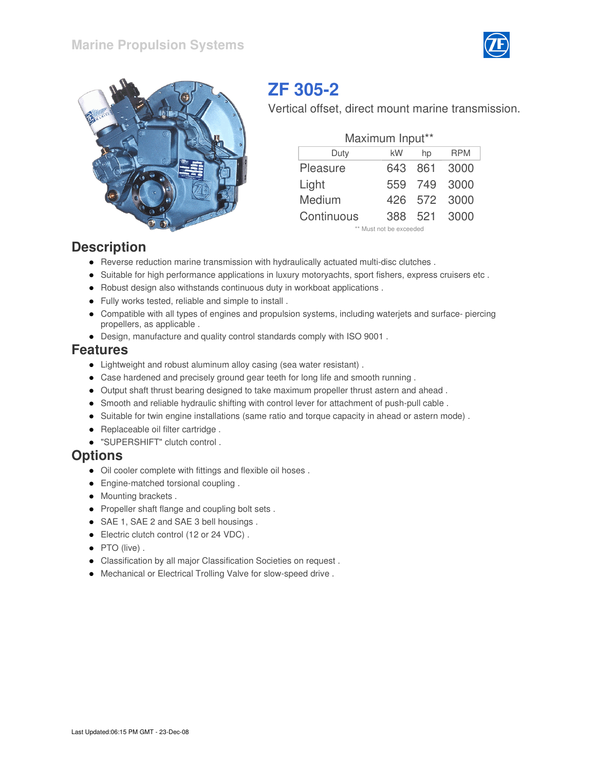



## **ZF 305-2**

Vertical offset, direct mount marine transmission.

| Maximum Input** |      |       |            |  |  |  |  |  |  |  |
|-----------------|------|-------|------------|--|--|--|--|--|--|--|
| Duty            | kW   | hp    | <b>RPM</b> |  |  |  |  |  |  |  |
| Pleasure        | 643  | - 861 | 3000       |  |  |  |  |  |  |  |
| Light           | 559  | 749   | 3000       |  |  |  |  |  |  |  |
| Medium          | 426. | 572   | 3000       |  |  |  |  |  |  |  |
| Continuous      | 388. |       | 521 3000   |  |  |  |  |  |  |  |

\*\* Must not be exceeded

#### **Description**

- Reverse reduction marine transmission with hydraulically actuated multi-disc clutches .
- Suitable for high performance applications in luxury motoryachts, sport fishers, express cruisers etc.
- Robust design also withstands continuous duty in workboat applications .
- Fully works tested, reliable and simple to install .
- Compatible with all types of engines and propulsion systems, including waterjets and surface- piercing propellers, as applicable .
- Design, manufacture and quality control standards comply with ISO 9001 .

#### **Features**

- Lightweight and robust aluminum alloy casing (sea water resistant) .
- Case hardened and precisely ground gear teeth for long life and smooth running .
- Output shaft thrust bearing designed to take maximum propeller thrust astern and ahead .
- Smooth and reliable hydraulic shifting with control lever for attachment of push-pull cable.
- Suitable for twin engine installations (same ratio and torque capacity in ahead or astern mode) .
- Replaceable oil filter cartridge.
- "SUPERSHIFT" clutch control .

#### **Options**

- Oil cooler complete with fittings and flexible oil hoses .
- Engine-matched torsional coupling.
- Mounting brackets.
- Propeller shaft flange and coupling bolt sets.
- SAE 1, SAE 2 and SAE 3 bell housings .
- **Electric clutch control (12 or 24 VDC).**
- PTO (live).
- Classification by all major Classification Societies on request .
- Mechanical or Electrical Trolling Valve for slow-speed drive .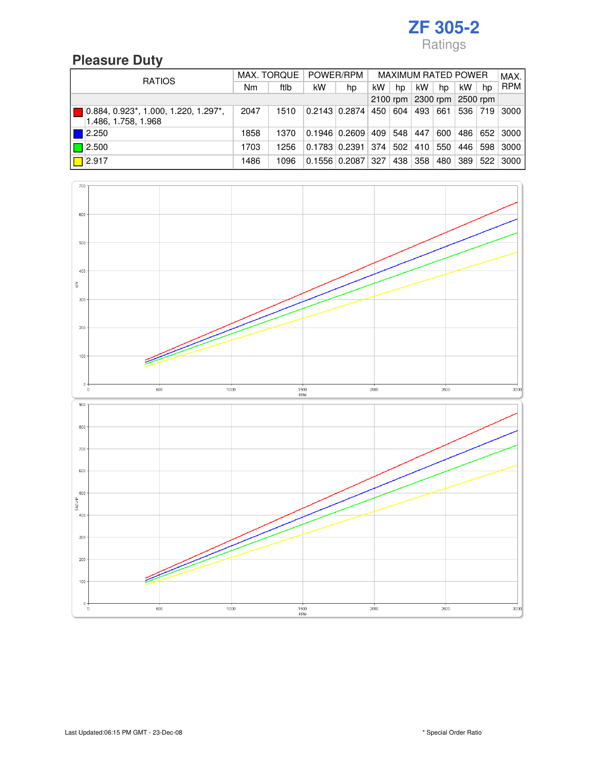### **Pleasure Duty**

| <b>RATIOS</b>                                                                           | MAX. TORQUE |      | POWER/RPM                  |                           | <b>MAXIMUM RATED POWER</b> |     |         |         |         |     | MAX.                 |
|-----------------------------------------------------------------------------------------|-------------|------|----------------------------|---------------------------|----------------------------|-----|---------|---------|---------|-----|----------------------|
|                                                                                         | Nm          | ftlb | kW                         | hp                        | kW.                        | hp  | kW      | hp      | kW.     | hp  | <b>RPM</b>           |
|                                                                                         |             |      | 2100 rpm 2300 rpm 2500 rpm |                           |                            |     |         |         |         |     |                      |
| $0.884, 0.923$ <sup>*</sup> , 1.000, 1.220, 1.297 <sup>*</sup> ,<br>1.486, 1.758, 1.968 | 2047        | 1510 |                            | $0.2143$ $0.2874$ 450 604 |                            |     |         |         |         |     | 493 661 536 719 3000 |
| $\blacksquare$ 2.250                                                                    | 1858        | 1370 |                            | $0.1946$ 0.2609 409       |                            |     | 548 447 | 600     | 486     |     | 652 3000             |
| $\Box$ 2.500                                                                            | 1703        | 1256 |                            | $0.1783$ 0.2391 374       |                            | 502 |         | 410 550 | 446     | 598 | 3000                 |
| $\boxed{}$ 2.917                                                                        | 1486        | 1096 |                            | $0.1556$ 0.2087 327       |                            |     | 438 358 | 480     | 389 522 |     | 3000                 |

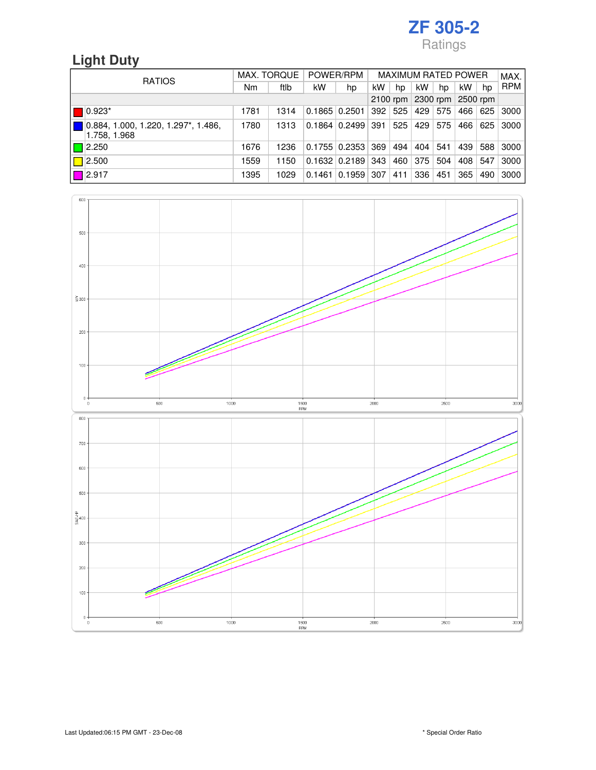### **Light Duty**

| <b>RATIOS</b>                                        | MAX. TORQUE |      | POWER/RPM       |                               | <b>MAXIMUM RATED POWER</b> |     |     |         |     | MAX.    |            |
|------------------------------------------------------|-------------|------|-----------------|-------------------------------|----------------------------|-----|-----|---------|-----|---------|------------|
|                                                      | Nm          | ftlb | kW              | hp                            | kW                         | hp  | kW  | hp      | kW  | hp      | <b>RPM</b> |
|                                                      |             |      |                 | 2100 rpm 2300 rpm 2500 rpm    |                            |     |     |         |     |         |            |
| $0.923*$                                             | 1781        | 1314 | 0.1865   0.2501 |                               | 392                        | 525 |     | 429 575 |     | 466 625 | 3000       |
| ▌0.884, 1.000, 1.220, 1.297*, 1.486,<br>1.758, 1.968 | 1780        | 1313 |                 | $0.1864$ 0.2499 391           |                            | 525 |     | 429 575 | 466 | 625     | 3000       |
| $\Box$ 2.250                                         | 1676        | 1236 |                 | $0.1755$ $0.2353$ 369         |                            | 494 | 404 | 541     | 439 | 588     | 3000       |
| $\Box$ 2.500                                         | 1559        | 1150 |                 | $0.1632 \mid 0.2189 \mid 343$ |                            | 460 | 375 | 504     | 408 | 547     | 3000       |
| $\Box$ 2.917                                         | 1395        | 1029 | 0.1461          | $0.1959$ 307                  |                            | 411 | 336 | 451     | 365 | 490     | 3000       |

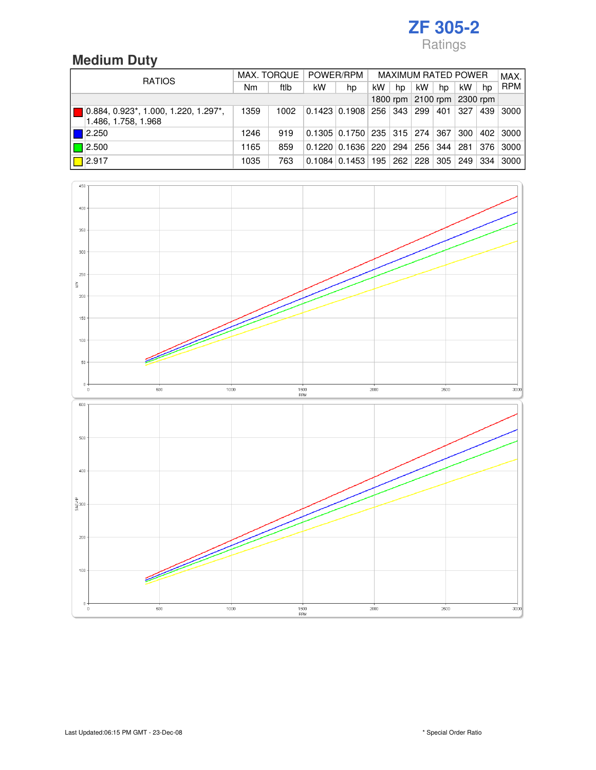### **Medium Duty**

| <b>RATIOS</b>                                                                           | MAX. TORQUE |      | POWER/RPM                  |                                                              | <b>MAXIMUM RATED POWER</b> |    |     |    |     |     | MAX.       |
|-----------------------------------------------------------------------------------------|-------------|------|----------------------------|--------------------------------------------------------------|----------------------------|----|-----|----|-----|-----|------------|
|                                                                                         | Nm          | ftlb | kW                         | hp                                                           | kW                         | hp | kW. | hp | kW. | hp  | <b>RPM</b> |
|                                                                                         |             |      | 1800 rpm 2100 rpm 2300 rpm |                                                              |                            |    |     |    |     |     |            |
| $0.884, 0.923$ <sup>*</sup> , 1.000, 1.220, 1.297 <sup>*</sup> ,<br>1.486, 1.758, 1.968 | 1359        | 1002 |                            | $0.1423$ $0.1908$ $256$ $343$ $299$ $401$ $327$ $56$         |                            |    |     |    |     | 439 | 3000       |
| $\blacksquare$ 2.250                                                                    | 1246        | 919  |                            | $0.1305$ $0.1750$ $235$ $315$ $274$ $367$                    |                            |    |     |    | 300 |     | 402 3000   |
| $\Box$ 2.500                                                                            | 1165        | 859  |                            | $0.1220$ $0.1636$ $220$ $294$ $256$ $344$ $281$ $376$ $3000$ |                            |    |     |    |     |     |            |
| $\boxed{}$ 2.917                                                                        | 1035        | 763  |                            | $0.1084$ $0.1453$ $195$ $262$ $228$ $305$ $249$ $334$        |                            |    |     |    |     |     | 3000       |

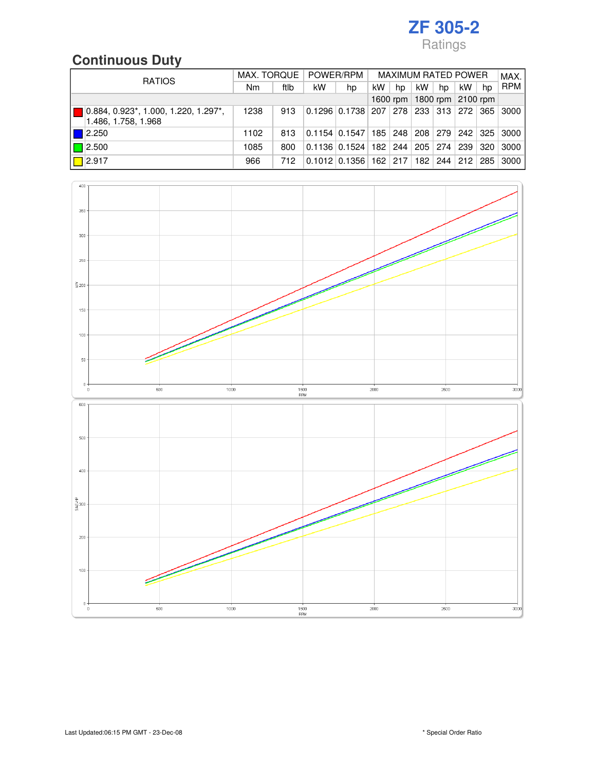### **Continuous Duty**

| <b>RATIOS</b>                                                                           | MAX. TORQUE |      | POWER/RPM |                                                              | <b>MAXIMUM RATED POWER</b> |     |                     |    |                       |     | MAX.       |
|-----------------------------------------------------------------------------------------|-------------|------|-----------|--------------------------------------------------------------|----------------------------|-----|---------------------|----|-----------------------|-----|------------|
|                                                                                         | Nm          | ftlb | kW        | hp                                                           | kW                         | hp  | kW                  | hp | kW                    | hp  | <b>RPM</b> |
|                                                                                         | 1600 rpm    |      |           |                                                              | 1800 rpm $ 2100$ rpm       |     |                     |    |                       |     |            |
| $0.884, 0.923$ <sup>*</sup> , 1.000, 1.220, 1.297 <sup>*</sup> ,<br>1.486, 1.758, 1.968 | 1238        | 913  |           | $0.1296$ $0.1738$ $207$ $278$ $233$ $313$ $272$ $365$ $3000$ |                            |     |                     |    |                       |     |            |
| $\vert$ 2.250                                                                           | 1102        | 813  |           | $0.1154$ $0.1547$                                            | 185                        |     | 248 208 279 242 325 |    |                       |     | 3000       |
| $\Box$ 2.500                                                                            | 1085        | 800  |           | $0.1136$ $0.1524$   182   244   205   274   239              |                            |     |                     |    |                       | 320 | 3000       |
| $\sqrt{2.917}$                                                                          | 966         | 712  |           | $0.1012$ 0.1356                                              | 162                        | 217 |                     |    | 182   244   212   285 |     | 3000       |

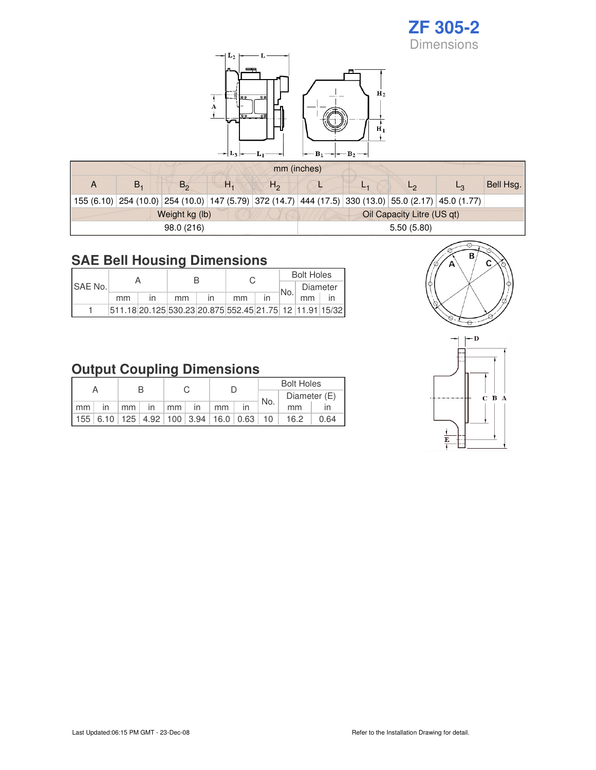#### **ZF 305-2** Dimensions



|    |                |    |              | mm (inches)                |         |  |                                                                                                      |           |  |  |  |
|----|----------------|----|--------------|----------------------------|---------|--|------------------------------------------------------------------------------------------------------|-----------|--|--|--|
| В. | $B_{\alpha}$   | Н. | $H_{\Omega}$ |                            | $L_{4}$ |  |                                                                                                      | Bell Hsg. |  |  |  |
|    |                |    |              |                            |         |  | 155 (6.10) 254 (10.0) 254 (10.0) 147 (5.79) 372 (14.7) 444 (17.5) 330 (13.0) 55.0 (2.17) 45.0 (1.77) |           |  |  |  |
|    | Weight kg (lb) |    |              | Oil Capacity Litre (US qt) |         |  |                                                                                                      |           |  |  |  |
|    | 98.0 (216)     |    |              | 5.50(5.80)                 |         |  |                                                                                                      |           |  |  |  |

#### **SAE Bell Housing Dimensions**

| <b>ISAE No.</b> |    |                                                         |    |    | <b>Bolt Holes</b> |          |  |  |
|-----------------|----|---------------------------------------------------------|----|----|-------------------|----------|--|--|
|                 |    |                                                         |    |    | No.               | Diameter |  |  |
|                 | mm |                                                         | mm | mm |                   | mm       |  |  |
|                 |    | 511.18 20.125 530.23 20.875 552.45 21.75 12 11.91 15/32 |    |    |                   |          |  |  |

### **Output Coupling Dimensions**

| А  |            |  |  |  |  |                                               |    | <b>Bolt Holes</b> |                                                |      |  |  |
|----|------------|--|--|--|--|-----------------------------------------------|----|-------------------|------------------------------------------------|------|--|--|
|    |            |  |  |  |  |                                               |    | <sup>∣</sup> No.  | Diameter (E)                                   |      |  |  |
| mm | $\cdot$ in |  |  |  |  | $mm \mid$ in $\mid mm \mid$ in $\mid mm \mid$ | in |                   | mm                                             |      |  |  |
|    |            |  |  |  |  |                                               |    |                   | $155 6.10 125 4.92 100 3.94 16.0 0.63 10 16.2$ | 0.64 |  |  |